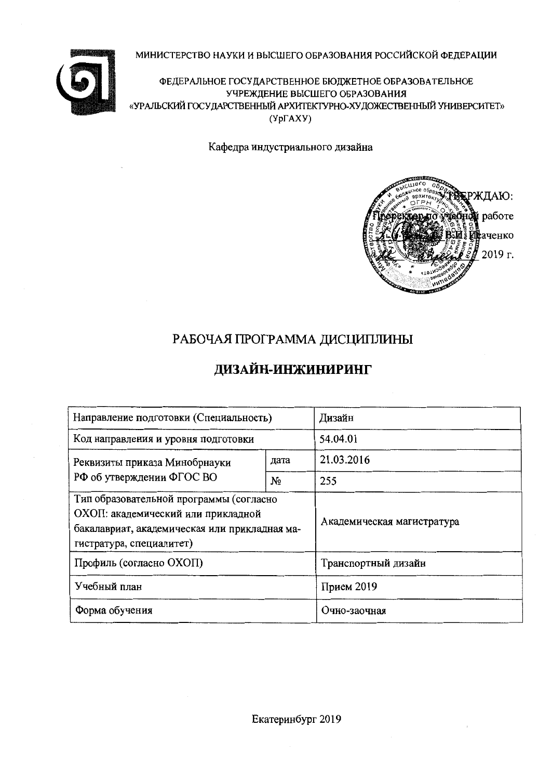### МИНИСТЕРСТВО НАУКИ И ВЫСШЕГО ОБРАЗОВАНИЯ РОССИЙСКОЙ ФЕДЕРАЦИИ



ФЕДЕРАЛЬНОЕ ГОСУДАРСТВЕННОЕ БЮДЖЕТНОЕ ОБРАЗОВАТЕЛЬНОЕ УЧРЕЖДЕНИЕ ВЫСШЕГО ОБРАЗОВАНИЯ «УРАЛЬСКИЙ ГОСУДАРСТВЕННЫЙ АРХИТЕКТУРНО-ХУДОЖЕСТВЕННЫЙ УНИВЕРСИТЕТ»  $(Yp\Gamma A XY)$ 

Кафедра индустриального дизайна



# РАБОЧАЯ ПРОГРАММА ДИСЦИПЛИНЫ

# ДИЗАЙН-ИНЖИНИРИНГ

| Направление подготовки (Специальность)                                                                                                                     | Дизайн                     |                     |  |
|------------------------------------------------------------------------------------------------------------------------------------------------------------|----------------------------|---------------------|--|
| Код направления и уровня подготовки                                                                                                                        | 54.04.01                   |                     |  |
| Реквизиты приказа Минобрнауки                                                                                                                              | дата                       | 21.03.2016          |  |
| РФ об утверждении ФГОС ВО                                                                                                                                  | No                         | 255                 |  |
| Тип образовательной программы (согласно<br>ОХОП: академический или прикладной<br>бакалавриат, академическая или прикладная ма-<br>гистратура, специалитет) | Академическая магистратура |                     |  |
| Профиль (согласно ОХОП)                                                                                                                                    |                            | Транспортный дизайн |  |
| Учебный план                                                                                                                                               | Прием 2019                 |                     |  |
| Форма обучения                                                                                                                                             | Очно-заочная               |                     |  |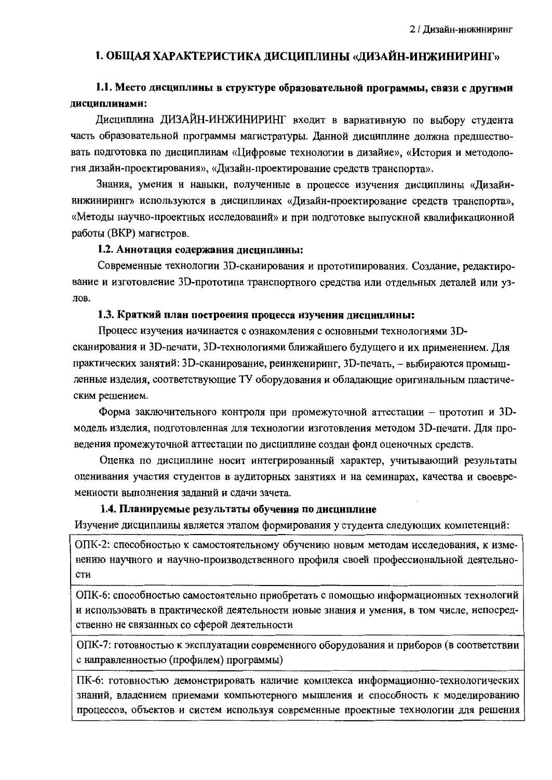### 1. ОБЩАЯ ХАРАКТЕРИСТИКА ДИСЦИПЛИНЫ «ДИЗАЙН-ИНЖИНИРИНГ»

### 1.1. Место дисциплины в структуре образовательной программы, связи с другнми дисциплинами:

Дисциплина ДИЗАЙН-ИНЖИНИРИНГ входит в вариативную по выбору студента часть образовательной программы магистратуры. Данной дисциплине должна предшествовать подготовка по дисциплинам «Цифровые технологии в дизайне», «История и методология дизайн-проектирования», «Дизайн-проектирование средств транспорта».

Знания, умения и навыки, полученные в процессе изучения дисциплины «Дизайнинжиниринг» используются в дисциплинах «Дизайн-проектирование средств транспорта», «Методы научно-проектных исследований» и при подготовке выпускной квалификационной работы (ВКР) магистров.

#### 1.2. Аннотация содержания дисциплины:

Современные технологии 3D-сканирования и прототипирования. Создание, редактирование и изготовление 3D-прототипа транспортного средства или отдельных деталей или узлов.

#### 1.3. Краткий план построения процесса изучения дисциплины:

Процесс изучения начинается с ознакомления с основными технологиями 3Dсканирования и 3D-печати, 3D-технологиями ближайшего будущего и их применением. Для практических занятий: 3D-сканирование, реинжениринг, 3D-печать, - выбираются промышленные изделия, соответствующие ТУ оборудования и обладающие оригинальным пластическим решением.

Форма заключительного контроля при промежуточной аттестации - прототип и 3Dмодель изделия, подготовленная для технологии изготовления методом 3D-печати. Для проведения промежуточной аттестации по дисциплине создан фонд оценочных средств.

Оценка по дисциплине носит интегрированный характер, учитывающий результаты оценивания участия студентов в аудиторных занятиях и на семинарах, качества и своевременности выполнения заданий и сдачи зачета.

#### 1.4. Планируемые результаты обучения по дисциплине

Изучение дисциплины является этапом формирования у студента следующих компетенций:

ОПК-2: способностью к самостоятельному обучению новым методам исследования, к изменению научного и научно-производственного профиля своей профессиональной деятельности

ОПК-6: способностью самостоятельно приобретать с помощью информационных технологий и использовать в практической деятельности новые знания и умения, в том числе, непосредственно не связанных со сферой деятельности

ОПК-7: готовностью к эксплуатации современного оборудования и приборов (в соответствии с направленностью (профилем) программы)

ПК-6: готовностью демонстрировать наличие комплекса информационно-технологических знаний, владением приемами компьютерного мышления и способность к моделированию процессов, объектов и систем используя современные проектные технологии для решения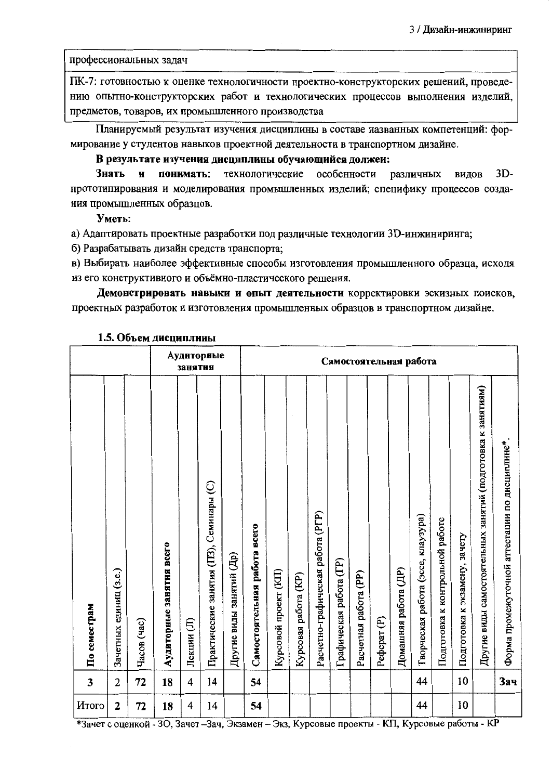профессиональных задач

ПК-7: готовностью к оценке технологичности проектно-конструкторских решений, проведению опытно-конструкторских работ и технологических процессов выполнения изделий, предметов, товаров, их промышленного производства

Планируемый результат изучения дисциплины в составе названных компетенций: формирование у студентов навыков проектной деятельности в транспортном дизайне.

#### В результате изучения дисциплины обучающийся должеи:

 $3D-$ Знать И понимать: технологические особенности различных видов прототипирования и моделирования промышленных изделий; специфику процессов создания промышленных образцов.

Уметь:

а) Адаптировать проектные разработки под различные технологии 3D-инжиниринга;

б) Разрабатывать дизайн средств транспорта;

в) Выбирать наиболее эффективные способы изготовления промышленного образца, исходя из его конструктивного и объёмно-пластического решения.

Демонстрировать навыки и опыт деятельности корректировки эскизных поисков, проектных разработок и изготовления промышленных образцов в транспортном дизайне.

|              |                        |             |                          | занятия    | Аудиторные                              |                          |                              |                       |                      |                                   |                         |                       |                        | Самостоятельная работа |                                    |                                 |                               |                                                             |                                                |
|--------------|------------------------|-------------|--------------------------|------------|-----------------------------------------|--------------------------|------------------------------|-----------------------|----------------------|-----------------------------------|-------------------------|-----------------------|------------------------|------------------------|------------------------------------|---------------------------------|-------------------------------|-------------------------------------------------------------|------------------------------------------------|
| По семестрам | Зачетных единиц (з.е.) | Часов (час) | Аудиторные занятия всего | Лекции (Л) | Практические занятия (ПЗ), Семинары (С) | Другие виды занятий (Др) | Самостоятельная работа всего | Курсовой проект (KII) | Курсовая работа (KP) | Расчетно-графическая работа (PГР) | Графическая работа (ГР) | Расчетная работа (PP) | Pedepar <sub>(P)</sub> | Домашняя работа (ДР)   | Творческая работа (эссе, клаузура) | Подготовка к контрольной работе | Подготовка к экзамену, зачету | Другие виды самостоятельных занятий (подготовка к занятиям) | Форма промежуточной аттестации по дисциплине*. |
| $\mathbf{3}$ | $\overline{2}$         | 72          | 18                       | 4          | 14                                      |                          | 54                           |                       |                      |                                   |                         |                       |                        |                        | 44                                 |                                 | 10                            |                                                             | Зач                                            |
| Итого        | $\mathbf{2}$           | 72          | 18                       | 4          | 14                                      |                          | 54                           |                       |                      |                                   |                         |                       |                        |                        | 44                                 |                                 | 10                            |                                                             |                                                |

#### 1.5. Объем дисциплины

\*Зачет с оценкой - ЗО, Зачет - Зач, Экзамен - Экз, Курсовые проекты - КП, Курсовые работы - КР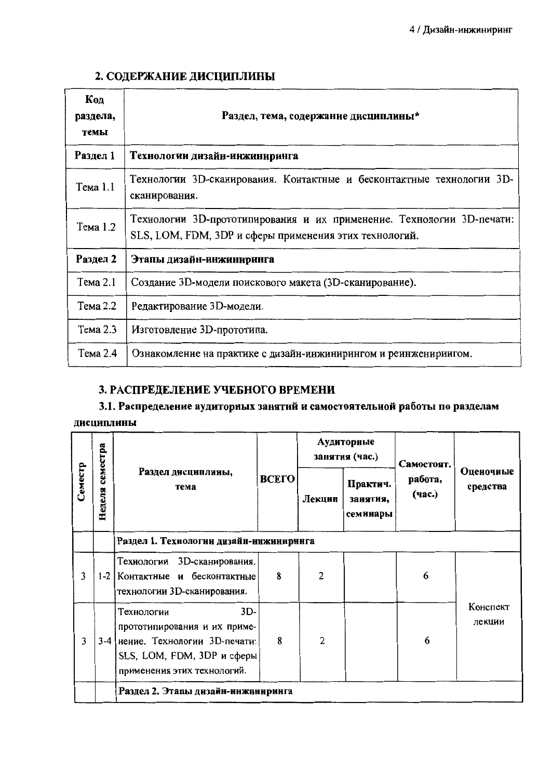# 2. СОДЕРЖАНИЕ ДИСЦИПЛИНЫ

| Код<br>раздела,<br>темы | Раздел, тема, содержание дисциплины*                                                                                            |
|-------------------------|---------------------------------------------------------------------------------------------------------------------------------|
| Раздел 1                | Технологии дизайн-инжиниринга                                                                                                   |
| Тема 1.1                | Технологии 3D-сканирования. Контактные и бесконтактные технологии 3D-<br>сканирования.                                          |
| Тема 1.2                | Технологии 3D-прототипирования и их применение. Технологии 3D-печати:<br>SLS, LOM, FDM, 3DP и сферы применения этих технологий. |
| Раздел 2                | Этапы дизайн-инжиниринга                                                                                                        |
| Тема 2.1                | Создание 3D-модели поискового макета (3D-сканирование).                                                                         |
| Тема 2.2                | Редактирование 3D-модели.                                                                                                       |
| Тема 2.3                | Изготовление 3D-прототипа.                                                                                                      |
| Тема 2.4                | Ознакомление на практике с дизайн-инжинирингом и реинженирингом.                                                                |

# 3. РАСПРЕДЕЛЕНИЕ УЧЕБНОГО ВРЕМЕНИ

# 3.1. Распределение аудиторных занятий и самостоятельной работы по разделам

#### дисциплины

|         | семестра |                                                                                                                                                      |       |        | Аудиторные<br>занятия (час.)     | Самостоят.        | Оценочные<br>средства |
|---------|----------|------------------------------------------------------------------------------------------------------------------------------------------------------|-------|--------|----------------------------------|-------------------|-----------------------|
| Семестр | Неделя   | Раздел дисциплииы,<br>тема                                                                                                                           | ВСЕГО | Лекции | Практич.<br>занятия,<br>семинары | работа,<br>(час.) |                       |
|         |          | Раздел 1. Технологии дизайн-инжинирнига                                                                                                              |       |        |                                  |                   |                       |
| 3       |          | 3D-сканирования.<br>Технологии<br>1-2 Контактные и бесконтактные<br>технологии 3D-сканирования.                                                      | 8     | 2      |                                  | 6                 |                       |
| 3       |          | $3D-$<br>Технологии<br>прототипирования и их приме-<br>3-4 нение. Технологии 3D-печати:<br>SLS, LOM, FDM, 3DP и сферы<br>применения этих технологий. | 8     | 2      |                                  | 6                 | Конспект<br>лекции    |
|         |          | Раздел 2. Этапы дизайн-нижиннринга                                                                                                                   |       |        |                                  |                   |                       |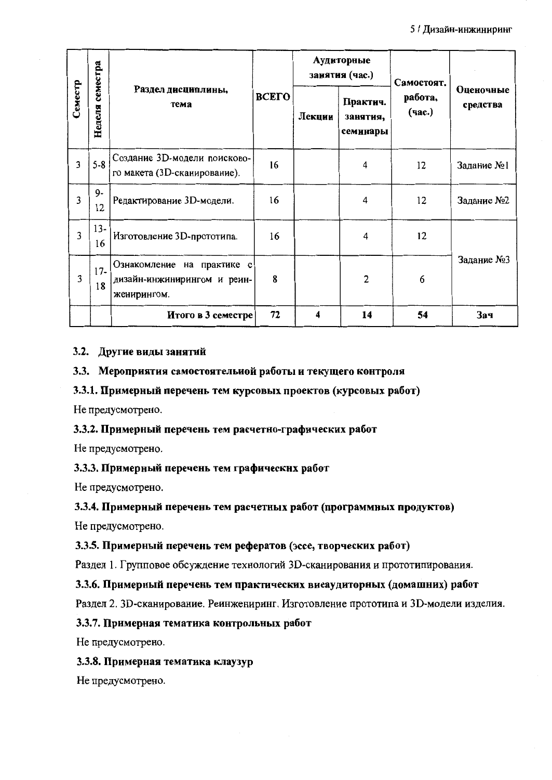5 / Дизайн-инжиниринг

|                | семестра    |                                                                          |              |        | Аудиторные<br>занятия (час.)     | Самостоят.        |                       |  |
|----------------|-------------|--------------------------------------------------------------------------|--------------|--------|----------------------------------|-------------------|-----------------------|--|
| Семестр        | Неделя      | Раздел дисциплины,<br>тема                                               | <b>BCETO</b> | Лекции | Практич.<br>занятия,<br>семинары | работа,<br>(час.) | Оценочные<br>средства |  |
| $\overline{3}$ | $5 - 8$     | Создание 3D-модели поисково-<br>го макета (3D-сканирование).             | 16           |        | 4                                | 12                | Задание №1            |  |
| $\overline{3}$ | $9-$<br>12  | Редактирование 3D-модели.                                                | 16           |        | 4                                | 12                | Задание №2            |  |
| 3              | $13-$<br>16 | Изготовление 3D-прототипа.                                               | 16           |        | 4                                | 12                |                       |  |
| 3              | $17-$<br>18 | Ознакомление на практике с<br>дизайн-инжинирингом и реин-<br>женирингом. | 8            |        | 2                                | 6                 | Задание №3            |  |
|                |             | Итого в 3 семестре                                                       | 72           | 4      | 14                               | 54                | Зач                   |  |

#### 3.2. Другие виды занятий

#### 3.3. Мероприятия самостоятельной работы и текущего контроля

#### 3.3.1. Примерный перечень тем курсовых проектов (курсовых работ)

Не предусмотрено.

### 3.3.2. Примерный перечень тем расчетно-графических работ

Не предусмотрено.

#### 3.3.3. Примерный перечень тем графических работ

Не предусмотрено.

#### 3.3.4. Примерный перечень тем расчетных работ (программных продуктов)

Не предусмотрено.

#### 3.3.5. Примерный перечень тем рефератов (эссе, творческих работ)

Раздел 1. Групповое обсуждение технологий 3D-сканирования и прототипирования.

#### 3.3.6. Примерный перечень тем практических виеаудиторных (домашних) работ

Раздел 2. 3D-сканирование. Реинжениринг. Изготовление прототипа и 3D-модели изделия.

#### 3.3.7. Примерная тематика контрольных работ

Не предусмотрено.

#### 3.3.8. Примерная тематика клаузур

Не предусмотрено.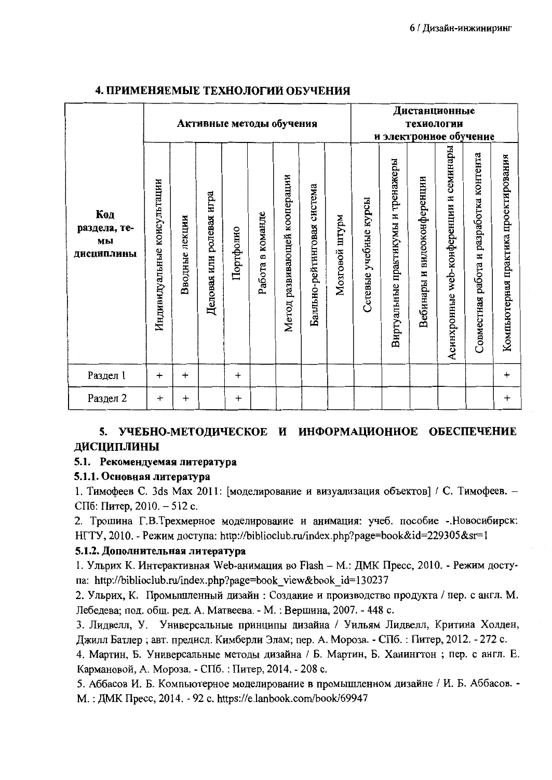|                                         | Активные методы обучения       |                |                             |           |                  |                              |                                |                   | Дистанционные<br>технологии<br>и электронное обучение |                                    |                                |                                           |                                         |                                      |
|-----------------------------------------|--------------------------------|----------------|-----------------------------|-----------|------------------|------------------------------|--------------------------------|-------------------|-------------------------------------------------------|------------------------------------|--------------------------------|-------------------------------------------|-----------------------------------------|--------------------------------------|
| Код<br>раздела, те-<br>МЫ<br>ДИСЦИПЛИНЫ | консультации<br>Индивидуальные | Вводные лекции | игра<br>Деловая или ролевая | Портфолно | Работа в команде | Метод развивающей кооперации | система<br>Балльно-рейтинговая | maklm<br>Мозговой | Сетевые учебные курсы                                 | Виртуальные практикумы и тренажеры | видеоконференции<br>Вебинары и | семинары<br>Асинхронные web-конференции и | Совместная работа и разработка контента | Компьютерная практика проектирования |
| Раздел 1                                | $\ddot{}$                      | $\ddot{}$      |                             | $\ddot{}$ |                  |                              |                                |                   |                                                       |                                    |                                |                                           |                                         | $\ddot{}$                            |
| Раздел 2                                | $\ddot{}$                      | $\ddot{}$      |                             | $\ddot{}$ |                  |                              |                                |                   |                                                       |                                    |                                |                                           |                                         | $\ddot{}$                            |

### 4. ПРИМЕНЯЕМЫЕ ТЕХНОЛОГИИ ОБУЧЕНИЯ

# 5. УЧЕБНО-МЕТОДИЧЕСКОЕ И ИНФОРМАЦИОННОЕ ОБЕСПЕЧЕНИЕ **ЛИСЦИПЛИНЫ**

### 5.1. Рекомендуемая литература

### 5.1.1. Основная литература

1. Тимофеев С. 3ds Max 2011: [моделирование и визуализация объектов] / С. Тимофеев. -СПб: Питер, 2010. - 512 с.

2. Трошина Г.В.Трехмерное моделирование и анимация: учеб. пособие -.Новосибирск: HГТУ, 2010. - Режим доступа: http://biblioclub.ru/index.php?page=book&id=229305&sr=1

### 5.1.2. Дополнительная литература

1. Ульрих К. Интерактивная Web-анимация во Flash - М.: ДМК Пресс, 2010. - Режим достуna: http://biblioclub.ru/index.php?page=book view&book id=130237

2. Ульрих, К. Промышленный дизайн: Создание и производство продукта / пер. с англ. М. Лебедева; под. общ. ред. А. Матвеева. - М. : Вершина, 2007. - 448 с.

3. Лидвелл, У. Универсальные принципы дизайна / Уильям Лидвелл, Критина Холден, Джилл Батлер; авт. предисл. Кимберли Элам; пер. А. Мороза. - СПб. : Питер, 2012. - 272 с.

4. Мартин, Б. Универсальные методы дизайна / Б. Мартин, Б. Ханингтон; пер. с англ. Е. Кармановой, А. Мороза. - СПб. : Питер, 2014. - 208 с.

5. Аббасов И. Б. Компьютерное моделирование в промышленном дизайне / И. Б. Аббасов. -M.: ДМК Пресс, 2014. - 92 с. https://e.lanbook.com/book/69947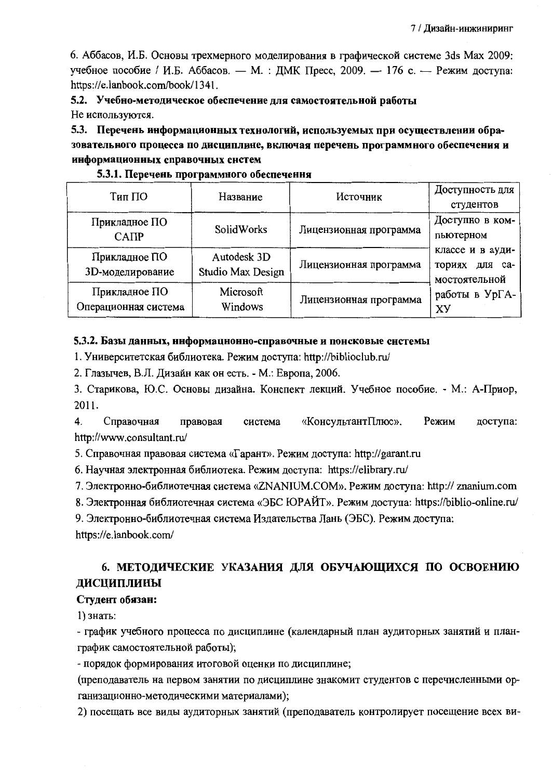6. Аббасов, И.Б. Основы трехмерного моделирования в графической системе 3ds Max 2009: учебное пособие / И.Б. Аббасов. - М. : ДМК Пресс, 2009. - 176 с. - Режим доступа: https://e.lanbook.com/book/1341.

5.2. Учебно-методическое обеспечение для самостоятельной работы Не используются.

5.3. Перечень информационных технологий, используемых при осуществлении образовательного процесса по дисциплине, включая перечень программного обеспечения и информационных справочных систем

| Тип ПО                                | Название                         | Источник               | Доступность для<br>студентов                                                |  |  |  |
|---------------------------------------|----------------------------------|------------------------|-----------------------------------------------------------------------------|--|--|--|
| Прикладное ПО<br>SolidWorks<br>CATIP  |                                  | Лицензионная программа | Доступно в ком-<br>пьютерном                                                |  |  |  |
| Прикладное ПО<br>3D-моделирование     | Autodesk 3D<br>Studio Max Design | Лицензионная программа | классе и в ауди-<br>ториях для са-<br>мостоятельной<br>работы в УрГА-<br>XУ |  |  |  |
| Прикладное ПО<br>Операционная система | Microsoft<br>Windows             | Лицензионная программа |                                                                             |  |  |  |

#### 5.3.1. Перечень программного обеспечення

#### 5.3.2. Базы данных, ннформационно-справочные и понсковые системы

1. Университетская библиотека. Режим доступа: http://biblioclub.ru/

2. Глазычев, В.Л. Дизайн как он есть. - М.: Европа, 2006.

3. Старикова, Ю.С. Основы дизайна. Конспект лекций. Учебное пособие. - М.: А-Приор, 2011.

 $\overline{4}$ . Справочная «КонсультантПлюс». Режим правовая система доступа: http://www.consultant.ru/

5. Справочная правовая система «Гарант». Режим доступа: http://garant.ru

6. Научная электронная библиотека. Режим доступа: https://elibrary.ru/

7. Электронно-библиотечная система «ZNANIUM.COM». Режим доступа: http:// znanium.com

8. Электронная библиотечная система «ЭБС ЮРАЙТ». Режим доступа: https://biblio-online.ru/

9. Электронно-библиотечная система Издательства Лань (ЭБС). Режим доступа:

https://e.lanbook.com/

# 6. МЕТОДИЧЕСКИЕ УКАЗАНИЯ ДЛЯ ОБУЧАЮЩИХСЯ ПО ОСВОЕНИЮ ДИСЦИПЛИНЫ

#### Студент обязан:

1) знать:

- график учебного процесса по дисциплине (календарный план аудиторных занятий и планграфик самостоятельной работы);

- порядок формирования итоговой оценки по дисциплине;

(преподаватель на первом занятии по дисциплине знакомит студентов с перечисленными организационно-методическими материалами);

2) посещать все виды аудиторных занятий (преподаватель контролирует посещение всех ви-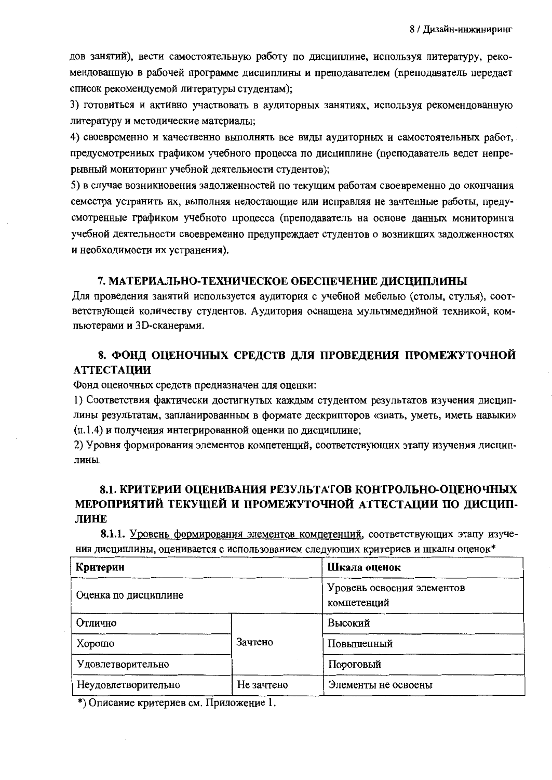дов занятий), вести самостоятельную работу по дисциплине, используя литературу, рекомендованную в рабочей программе дисциплины и преподавателем (преподаватель передает список рекомендуемой литературы студентам);

3) готовиться и активно участвовать в аудиторных занятиях, используя рекомендованную литературу и методические материалы;

4) своевременно и качественно выполнять все виды аудиторных и самостоятельных работ, предусмотренных графиком учебного процесса по дисциплине (преподаватель ведет непрерывный мониторинг учебной деятельности студентов);

5) в случае возникновения задолженностей по текущим работам своевременно до окончания семестра устранить их, выполняя недостающие или исправляя не зачтенные работы, предусмотренные графиком учебного процесса (преподаватель на основе данных мониторинга учебной деятельности своевременно предупреждает студентов о возникших задолженностях и необходимости их устранения).

#### 7. МАТЕРИАЛЬНО-ТЕХНИЧЕСКОЕ ОБЕСПЕЧЕНИЕ ДИСЦИПЛИНЫ

Для проведения занятий используется аудитория с учебной мебелью (столы, стулья), соответствующей количеству студентов. Аудитория оснащена мультимедийной техникой, компьютерами и 3D-сканерами.

## 8. ФОНД ОЦЕНОЧНЫХ СРЕДСТВ ДЛЯ ПРОВЕДЕНИЯ ПРОМЕЖУТОЧНОЙ **АТТЕСТАЦИИ**

Фонд оценочных средств предназначен для оценки:

1) Соответствия фактически достигнутых каждым студентом результатов изучения дисциплины результатам, запланированным в формате дескрипторов «знать, уметь, иметь навыки» (п.1.4) и получения интегрированной оценки по дисциплине;

2) Уровня формирования элементов компетенций, соответствующих этапу изучения дисциплины.

### 8.1. КРИТЕРИИ ОЦЕНИВАНИЯ РЕЗУЛЬТАТОВ КОНТРОЛЬНО-ОЦЕНОЧНЫХ МЕРОПРИЯТИЙ ТЕКУЩЕЙ И ПРОМЕЖУТОЧНОЙ АТТЕСТАЦИИ ПО ДИСЦИП-ЛИНЕ

8.1.1. Уровень формирования элементов компетенций, соответствующих этапу изучения дисциплины, оценивается с использованием следующих критериев и шкалы оценок\*

| Критерии             | Шкала оценок |                                           |  |  |
|----------------------|--------------|-------------------------------------------|--|--|
| Оценка по дисциплине |              | Уровень освоения элементов<br>компетенций |  |  |
| Отлично              |              | Высокий                                   |  |  |
| Хорошо               | Зачтено      | Повышенный                                |  |  |
| Удовлетворительно    |              | Пороговый                                 |  |  |
| Неудовлетворительно  | Не зачтено   | Элементы не освоены                       |  |  |

\*) Описание критериев см. Приложение 1.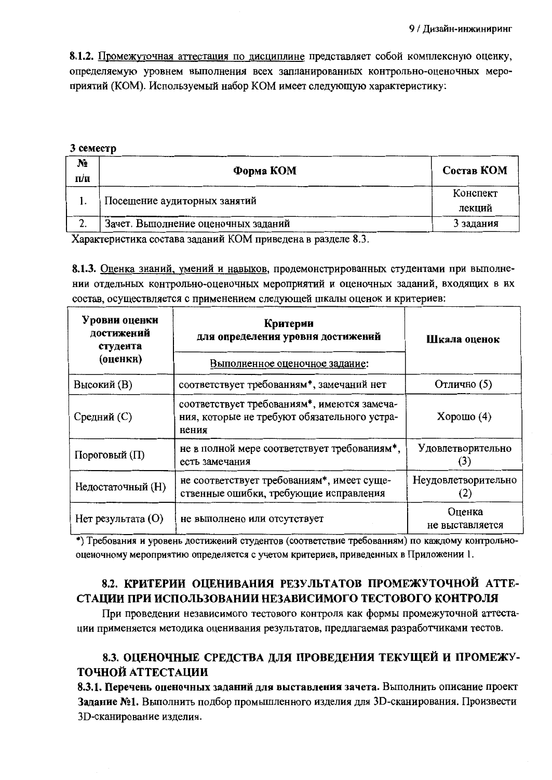8.1.2. Промежуточная аттестация по дисциплине представляет собой комплексную оценку, определяемую уровнем выполнения всех запланированных контрольно-оценочных мероприятий (КОМ). Используемый набор КОМ имеет следующую характеристику:

#### 3 семестр

| N <sub>2</sub><br>$\Pi/\Pi$  | Форма КОМ                                           | Состав КОМ         |
|------------------------------|-----------------------------------------------------|--------------------|
|                              | Посещение аудиторных занятий                        | Конспект<br>лекций |
| $\mathcal{D}$<br><u>، مە</u> | Зачет. Выполнение оценочных заданий                 | 3 задания          |
| $ -$                         | $\mathbf{u}$ . The state $\mathbf{v}$<br><u>^</u> ^ |                    |

Характеристика состава заданий КОМ приведена в разделе 8.3.

8.1.3. Оценка знаний, умений и навыков, продемонстрированных студентами при выполнении отдельных контрольно-оценочных мероприятий и оценочных заданий, входящих в их состав, осуществляется с применением следующей шкалы оценок и критериев:

| Уровни оценки<br>достижений<br>студента<br>(оценки) | Критерии<br>для определения уровня достижений<br>Выполненное оценочное задание:                      | Шкала оценок               |  |  |
|-----------------------------------------------------|------------------------------------------------------------------------------------------------------|----------------------------|--|--|
| Высокий (В)                                         | соответствует требованиям*, замечаний нет                                                            | Отлично (5)                |  |  |
| Средний (С)                                         | соответствует требованиям*, имеются замеча-<br>ния, которые не требуют обязательного устра-<br>нения | Хорошо $(4)$               |  |  |
| Пороговый (П)                                       | не в полной мере соответствует требованиям*,<br>есть замечания                                       | Удовлетворительно          |  |  |
| Недостаточный (H)                                   | не соответствует требованиям*, имеет суще-<br>ственные ошибки, требующие исправления                 | Неудовлетворительно<br>(2) |  |  |
| $Her$ результата $(O)$                              | не выполнено или отсутствует                                                                         | Оценка<br>не выставляется  |  |  |

\*) Требования и уровень достижений студентов (соответствие требованиям) по каждому контрольнооценочному мероприятию определяется с учетом критериев, приведенных в Приложении 1.

# 8.2. КРИТЕРИИ ОЦЕНИВАНИЯ РЕЗУЛЬТАТОВ ПРОМЕЖУТОЧНОЙ АТТЕ-СТАЦИИ ПРИ ИСПОЛЬЗОВАНИИ НЕЗАВИСИМОГО ТЕСТОВОГО КОНТРОЛЯ

При проведении независимого тестового контроля как формы промежуточной аттестации применяется методика оценивания результатов, предлагаемая разработчиками тестов.

# 8.3. ОЦЕНОЧНЫЕ СРЕДСТВА ДЛЯ ПРОВЕДЕНИЯ ТЕКУЩЕЙ И ПРОМЕЖУ-ТОЧНОЙ АТТЕСТАЦИИ

8.3.1. Перечень оценочных заданий для выставления зачета. Выполнить описание проект Задание №1. Выполнить подбор промышленного изделия для 3D-сканирования. Произвести 3D-сканирование изделия.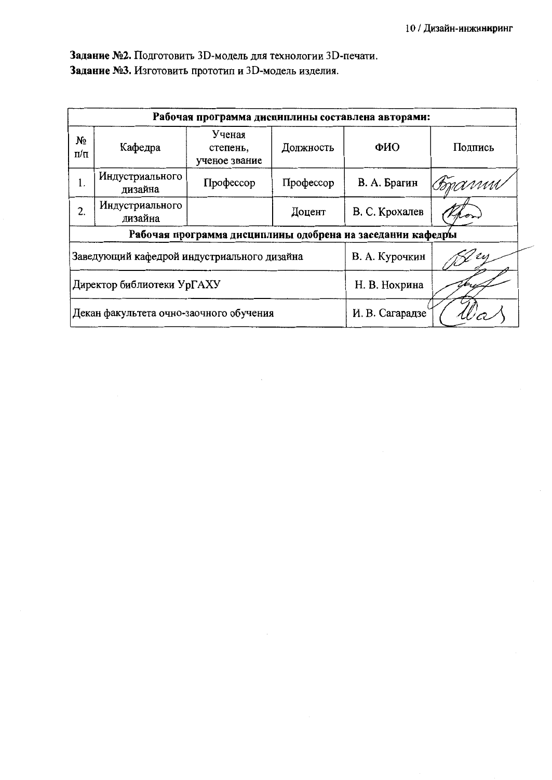Задание №2. Подготовить 3D-модель для технологии 3D-печати. Задание №3. Изготовить прототип и 3D-модель изделия.

| Рабочая программа дисциплины составлена авторами: |                                             |                                     |               |                                                            |         |  |  |  |  |  |
|---------------------------------------------------|---------------------------------------------|-------------------------------------|---------------|------------------------------------------------------------|---------|--|--|--|--|--|
| No<br>$\Pi/\Pi$                                   | Кафедра                                     | Ученая<br>степень,<br>ученое звание | Должность     | ФИО                                                        | Подпись |  |  |  |  |  |
| 1.                                                | Индустриального<br>дизайна                  | Профессор                           | Профессор     | В. А. Брагин                                               | Copanni |  |  |  |  |  |
| 2.                                                | Индустриального<br>дизайна                  |                                     | Доцент        | В. С. Крохалев                                             |         |  |  |  |  |  |
|                                                   |                                             |                                     |               | Рабочая программа дисциплины одобрена иа заседании кафедры |         |  |  |  |  |  |
|                                                   | Заведующий кафедрой индустриального дизайна |                                     |               | В. А. Курочкин                                             |         |  |  |  |  |  |
|                                                   | Директор библиотеки УрГАХУ                  |                                     | Н. В. Нохрина |                                                            |         |  |  |  |  |  |
|                                                   | Декан факультета очно-заочного обучения     |                                     |               | И. В. Сагарадзе                                            |         |  |  |  |  |  |